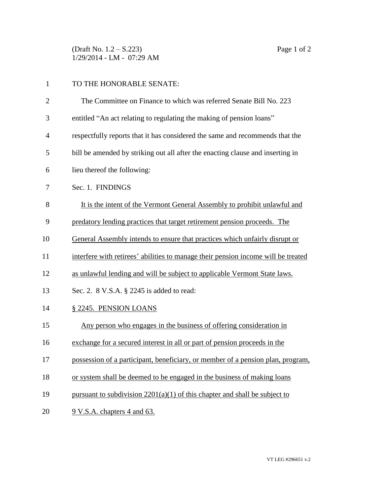(Draft No. 1.2 – S.223) Page 1 of 2 1/29/2014 - LM - 07:29 AM

| $\mathbf{1}$   | TO THE HONORABLE SENATE:                                                          |
|----------------|-----------------------------------------------------------------------------------|
| $\overline{2}$ | The Committee on Finance to which was referred Senate Bill No. 223                |
| 3              | entitled "An act relating to regulating the making of pension loans"              |
| 4              | respectfully reports that it has considered the same and recommends that the      |
| 5              | bill be amended by striking out all after the enacting clause and inserting in    |
| 6              | lieu thereof the following:                                                       |
| 7              | Sec. 1. FINDINGS                                                                  |
| 8              | It is the intent of the Vermont General Assembly to prohibit unlawful and         |
| 9              | predatory lending practices that target retirement pension proceeds. The          |
| 10             | General Assembly intends to ensure that practices which unfairly disrupt or       |
| 11             | interfere with retirees' abilities to manage their pension income will be treated |
| 12             | as unlawful lending and will be subject to applicable Vermont State laws.         |
| 13             | Sec. 2. 8 V.S.A. § 2245 is added to read:                                         |
| 14             | § 2245. PENSION LOANS                                                             |
| 15             | Any person who engages in the business of offering consideration in               |
| 16             | exchange for a secured interest in all or part of pension proceeds in the         |
| 17             | possession of a participant, beneficiary, or member of a pension plan, program,   |
| 18             | or system shall be deemed to be engaged in the business of making loans           |
| 19             | pursuant to subdivision $2201(a)(1)$ of this chapter and shall be subject to      |
| 20             | 9 V.S.A. chapters 4 and 63.                                                       |